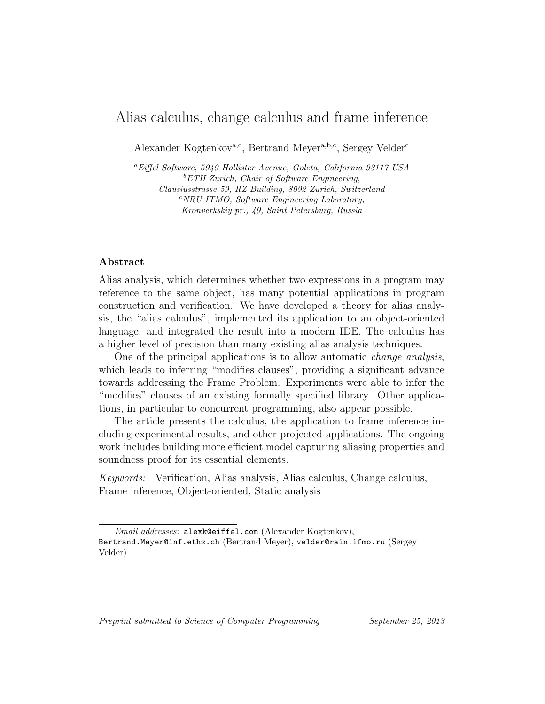# Alias calculus, change calculus and frame inference

Alexander Kogtenkov<sup>a,c</sup>, Bertrand Meyer<sup>a,b,c</sup>, Sergey Velder<sup>c</sup>

<sup>a</sup>Eiffel Software, 5949 Hollister Avenue, Goleta, California 93117 USA  ${}^{b}ETH$  Zurich, Chair of Software Engineering, Clausiusstrasse 59, RZ Building, 8092 Zurich, Switzerland <sup>c</sup>NRU ITMO, Software Engineering Laboratory, Kronverkskiy pr., 49, Saint Petersburg, Russia

# Abstract

Alias analysis, which determines whether two expressions in a program may reference to the same object, has many potential applications in program construction and verification. We have developed a theory for alias analysis, the "alias calculus", implemented its application to an object-oriented language, and integrated the result into a modern IDE. The calculus has a higher level of precision than many existing alias analysis techniques.

One of the principal applications is to allow automatic change analysis, which leads to inferring "modifies clauses", providing a significant advance towards addressing the Frame Problem. Experiments were able to infer the "modifies" clauses of an existing formally specified library. Other applications, in particular to concurrent programming, also appear possible.

The article presents the calculus, the application to frame inference including experimental results, and other projected applications. The ongoing work includes building more efficient model capturing aliasing properties and soundness proof for its essential elements.

Keywords: Verification, Alias analysis, Alias calculus, Change calculus, Frame inference, Object-oriented, Static analysis

Preprint submitted to Science of Computer Programming September 25, 2013

Email addresses: alexk@eiffel.com (Alexander Kogtenkov), Bertrand.Meyer@inf.ethz.ch (Bertrand Meyer), velder@rain.ifmo.ru (Sergey Velder)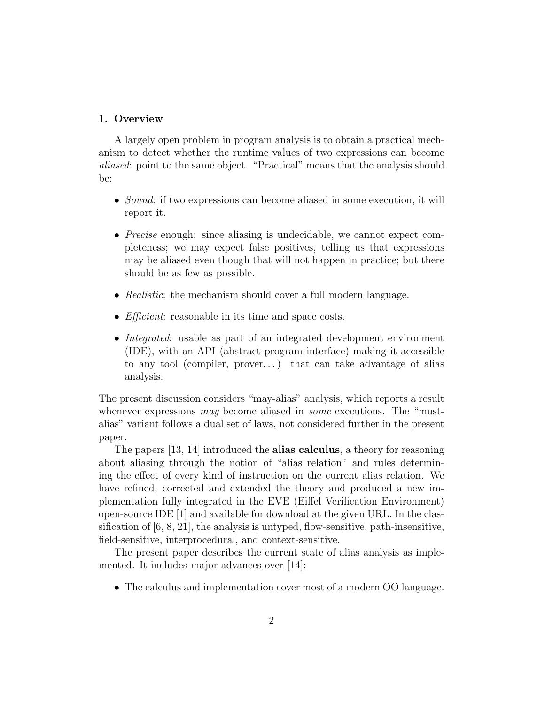# 1. Overview

A largely open problem in program analysis is to obtain a practical mechanism to detect whether the runtime values of two expressions can become aliased: point to the same object. "Practical" means that the analysis should be:

- *Sound*: if two expressions can become aliased in some execution, it will report it.
- *Precise* enough: since aliasing is undecidable, we cannot expect completeness; we may expect false positives, telling us that expressions may be aliased even though that will not happen in practice; but there should be as few as possible.
- Realistic: the mechanism should cover a full modern language.
- *Efficient*: reasonable in its time and space costs.
- *Integrated*: usable as part of an integrated development environment (IDE), with an API (abstract program interface) making it accessible to any tool (compiler, prover. . . ) that can take advantage of alias analysis.

The present discussion considers "may-alias" analysis, which reports a result whenever expressions  $may$  become aliased in *some* executions. The "mustalias" variant follows a dual set of laws, not considered further in the present paper.

The papers [13, 14] introduced the alias calculus, a theory for reasoning about aliasing through the notion of "alias relation" and rules determining the effect of every kind of instruction on the current alias relation. We have refined, corrected and extended the theory and produced a new implementation fully integrated in the EVE (Eiffel Verification Environment) open-source IDE [1] and available for download at the given URL. In the classification of  $[6, 8, 21]$ , the analysis is untyped, flow-sensitive, path-insensitive, field-sensitive, interprocedural, and context-sensitive.

The present paper describes the current state of alias analysis as implemented. It includes major advances over [14]:

• The calculus and implementation cover most of a modern OO language.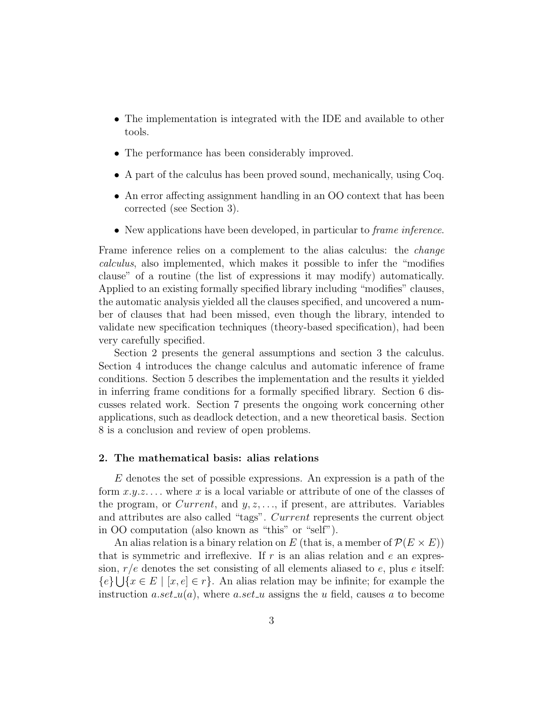- The implementation is integrated with the IDE and available to other tools.
- The performance has been considerably improved.
- A part of the calculus has been proved sound, mechanically, using Coq.
- An error affecting assignment handling in an OO context that has been corrected (see Section 3).
- New applications have been developed, in particular to *frame inference*.

Frame inference relies on a complement to the alias calculus: the *change* calculus, also implemented, which makes it possible to infer the "modifies clause" of a routine (the list of expressions it may modify) automatically. Applied to an existing formally specified library including "modifies" clauses, the automatic analysis yielded all the clauses specified, and uncovered a number of clauses that had been missed, even though the library, intended to validate new specification techniques (theory-based specification), had been very carefully specified.

Section 2 presents the general assumptions and section 3 the calculus. Section 4 introduces the change calculus and automatic inference of frame conditions. Section 5 describes the implementation and the results it yielded in inferring frame conditions for a formally specified library. Section 6 discusses related work. Section 7 presents the ongoing work concerning other applications, such as deadlock detection, and a new theoretical basis. Section 8 is a conclusion and review of open problems.

#### 2. The mathematical basis: alias relations

 $E$  denotes the set of possible expressions. An expression is a path of the form  $x,y,z...$  where x is a local variable or attribute of one of the classes of the program, or *Current*, and  $y, z, \ldots$ , if present, are attributes. Variables and attributes are also called "tags". Current represents the current object in OO computation (also known as "this" or "self").

An alias relation is a binary relation on E (that is, a member of  $\mathcal{P}(E \times E)$ ) that is symmetric and irreflexive. If  $r$  is an alias relation and  $e$  an expression,  $r/e$  denotes the set consisting of all elements aliased to  $e$ , plus  $e$  itself:  ${e} \bigcup \{x \in E \mid [x, e] \in r\}.$  An alias relation may be infinite; for example the instruction a.set  $u(a)$ , where a.set u assigns the u field, causes a to become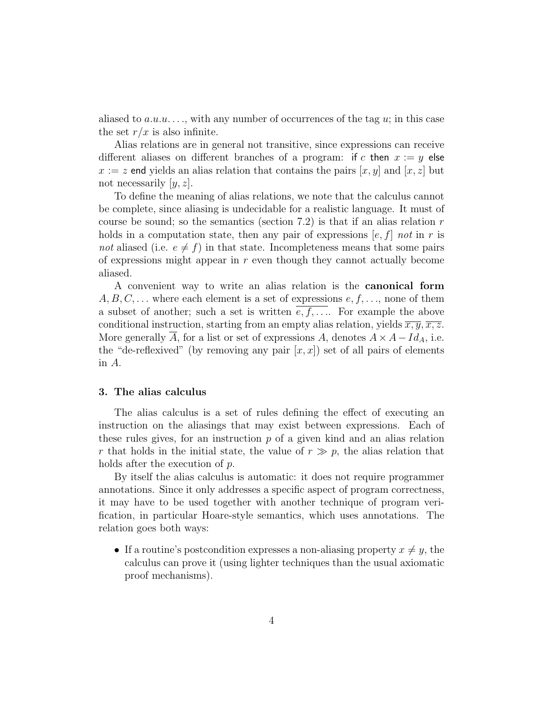aliased to  $a.u.u...$ , with any number of occurrences of the tag u; in this case the set  $r/x$  is also infinite.

Alias relations are in general not transitive, since expressions can receive different aliases on different branches of a program: if c then  $x := y$  else  $x := z$  end yields an alias relation that contains the pairs  $[x, y]$  and  $[x, z]$  but not necessarily  $|y, z|$ .

To define the meaning of alias relations, we note that the calculus cannot be complete, since aliasing is undecidable for a realistic language. It must of course be sound; so the semantics (section 7.2) is that if an alias relation  $r$ holds in a computation state, then any pair of expressions  $[e, f]$  not in r is not aliased (i.e.  $e \neq f$ ) in that state. Incompleteness means that some pairs of expressions might appear in  $r$  even though they cannot actually become aliased.

A convenient way to write an alias relation is the canonical form  $A, B, C, \ldots$  where each element is a set of expressions  $e, f, \ldots$ , none of them a subset of another; such a set is written  $e, f, \ldots$ . For example the above conditional instruction, starting from an empty alias relation, yields  $\overline{x, y}, \overline{x, z}$ . More generally  $\overline{A}$ , for a list or set of expressions A, denotes  $A \times A - Id_A$ , i.e. the "de-reflexived" (by removing any pair  $[x, x]$ ) set of all pairs of elements in A.

#### 3. The alias calculus

The alias calculus is a set of rules defining the effect of executing an instruction on the aliasings that may exist between expressions. Each of these rules gives, for an instruction  $p$  of a given kind and an alias relation r that holds in the initial state, the value of  $r \gg p$ , the alias relation that holds after the execution of p.

By itself the alias calculus is automatic: it does not require programmer annotations. Since it only addresses a specific aspect of program correctness, it may have to be used together with another technique of program verification, in particular Hoare-style semantics, which uses annotations. The relation goes both ways:

• If a routine's postcondition expresses a non-aliasing property  $x \neq y$ , the calculus can prove it (using lighter techniques than the usual axiomatic proof mechanisms).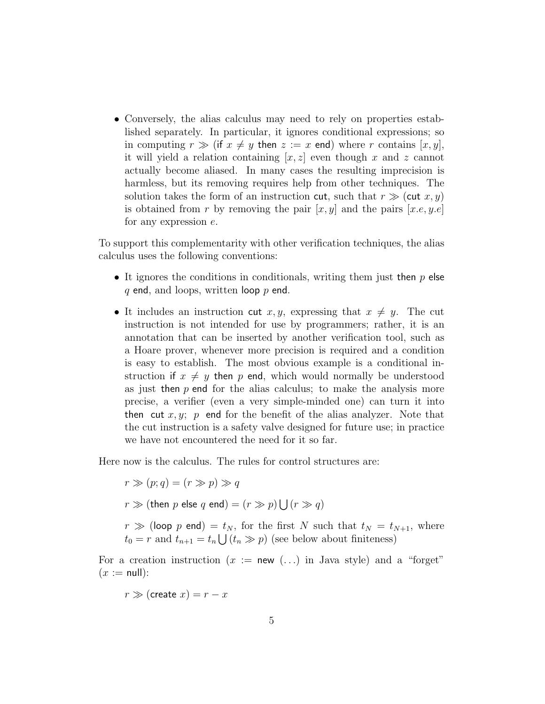• Conversely, the alias calculus may need to rely on properties established separately. In particular, it ignores conditional expressions; so in computing  $r \gg$  (if  $x \neq y$  then  $z := x$  end) where r contains  $[x, y]$ , it will yield a relation containing  $[x, z]$  even though x and z cannot actually become aliased. In many cases the resulting imprecision is harmless, but its removing requires help from other techniques. The solution takes the form of an instruction cut, such that  $r \gg (cut x, y)$ is obtained from r by removing the pair  $[x, y]$  and the pairs  $[x.e, y.e]$ for any expression e.

To support this complementarity with other verification techniques, the alias calculus uses the following conventions:

- It ignores the conditions in conditionals, writing them just then  $p$  else  $q$  end, and loops, written loop  $p$  end.
- It includes an instruction cut x, y, expressing that  $x \neq y$ . The cut instruction is not intended for use by programmers; rather, it is an annotation that can be inserted by another verification tool, such as a Hoare prover, whenever more precision is required and a condition is easy to establish. The most obvious example is a conditional instruction if  $x \neq y$  then p end, which would normally be understood as just then  $p$  end for the alias calculus; to make the analysis more precise, a verifier (even a very simple-minded one) can turn it into then cut  $x, y$ ; p end for the benefit of the alias analyzer. Note that the cut instruction is a safety valve designed for future use; in practice we have not encountered the need for it so far.

Here now is the calculus. The rules for control structures are:

 $r \gg (p; q) = (r \gg p) \gg q$  $r \gg$  (then p else q end) =  $(r \gg p) \bigcup (r \gg q)$  $r \gg$  (loop p end) =  $t_N$ , for the first N such that  $t_N = t_{N+1}$ , where  $t_0 = r$  and  $t_{n+1} = t_n \bigcup (t_n \gg p)$  (see below about finiteness)

For a creation instruction  $(x := new (...))$  in Java style) and a "forget"  $(x := null)$ :

$$
r \gg (create x) = r - x
$$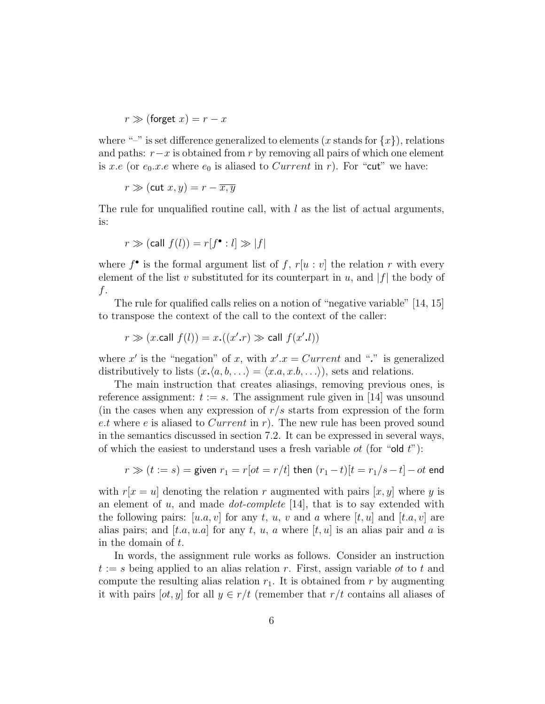$$
r \gg
$$
 (forget  $x$ ) =  $r - x$ 

where "-" is set difference generalized to elements  $(x \text{ stands for } \{x\})$ , relations and paths:  $r-x$  is obtained from r by removing all pairs of which one element is x.e (or  $e_0$ .x.e where  $e_0$  is aliased to *Current* in r). For "cut" we have:

$$
r \gg
$$
 (cut  $x, y$ ) =  $r - \overline{x, y}$ 

The rule for unqualified routine call, with  $l$  as the list of actual arguments, is:

$$
r \gg (call f(l)) = r[f^{\bullet} : l] \gg |f|
$$

where  $f^{\bullet}$  is the formal argument list of f,  $r[u:v]$  the relation r with every element of the list v substituted for its counterpart in  $u$ , and  $|f|$  the body of f.

The rule for qualified calls relies on a notion of "negative variable" [14, 15] to transpose the context of the call to the context of the caller:

$$
r \gg (x.\text{call } f(l)) = x.((x'.r) \gg \text{call } f(x'.l))
$$

where x' is the "negation" of x, with  $x'.x = Current$  and "." is generalized distributively to lists  $(x, \langle a, b, \ldots \rangle = \langle x.a, x.b, \ldots \rangle)$ , sets and relations.

The main instruction that creates aliasings, removing previous ones, is reference assignment:  $t := s$ . The assignment rule given in [14] was unsound (in the cases when any expression of  $r/s$  starts from expression of the form e.t where e is aliased to Current in r). The new rule has been proved sound in the semantics discussed in section 7.2. It can be expressed in several ways, of which the easiest to understand uses a fresh variable of (for "old  $t$ "):

$$
r \gg (t := s) =
$$
 given  $r_1 = r[ot = r/t]$  then  $(r_1 - t)[t = r_1/s - t] - ot$  end

with  $r[x = u]$  denoting the relation r augmented with pairs  $[x, y]$  where y is an element of u, and made  $dot$ -complete [14], that is to say extended with the following pairs:  $[u.a, v]$  for any t, u, v and a where  $[t, u]$  and  $[t.a, v]$  are alias pairs; and  $[t.a, u.a]$  for any t, u, a where  $[t, u]$  is an alias pair and a is in the domain of t.

In words, the assignment rule works as follows. Consider an instruction  $t := s$  being applied to an alias relation r. First, assign variable of to t and compute the resulting alias relation  $r_1$ . It is obtained from r by augmenting it with pairs  $[ot, y]$  for all  $y \in r/t$  (remember that  $r/t$  contains all aliases of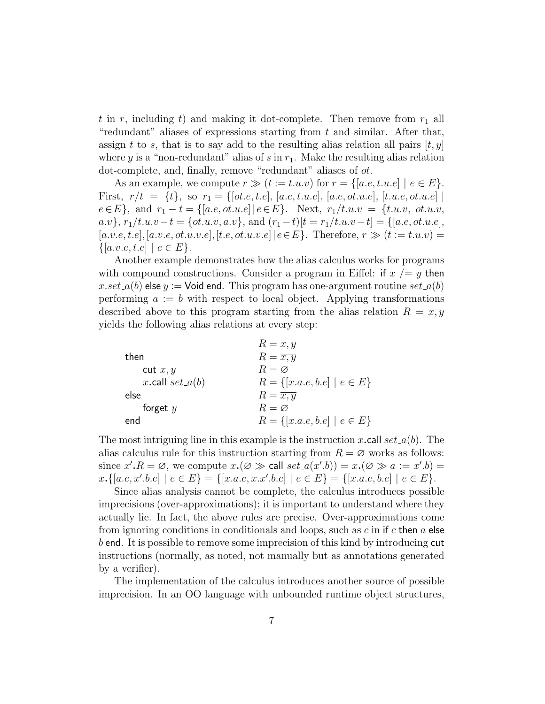t in r, including t) and making it dot-complete. Then remove from  $r_1$  all "redundant" aliases of expressions starting from  $t$  and similar. After that, assign t to s, that is to say add to the resulting alias relation all pairs  $|t, y|$ where y is a "non-redundant" alias of s in  $r_1$ . Make the resulting alias relation dot-complete, and, finally, remove "redundant" aliases of ot.

As an example, we compute  $r \gg (t := t.u.v)$  for  $r = \{[a.e, t.u.e] \mid e \in E\}.$ First,  $r/t = \{t\}$ , so  $r_1 = \{[ot.e, t.e], [a.e, t.u.e], [a.e, ot.u.e], [t.u.e, ot.u.e] \}$  $e \in E$ , and  $r_1 - t = \{[a.e, ot.u.e]| e \in E\}$ . Next,  $r_1/t.u.v = \{t.u.v, ot.u.v,$  $a.v\}, r_1/t.u.v-t = \{ot.u.v, a.v\}, \text{and } (r_1-t)[t = r_1/t.u.v-t] = \{[a.e, ot.u.e],$  $[a.v.e, t.e], [a.v.e, ot.u.v.e], [t.e, ot.u.v.e] \mid e \in E$ . Therefore,  $r \gg (t := t.u.v)$  $\{[a.v.e, t.e] \mid e \in E\}.$ 

Another example demonstrates how the alias calculus works for programs with compound constructions. Consider a program in Eiffel: if  $x \neq y$  then x.set  $a(b)$  else y := Void end. This program has one-argument routine set  $a(b)$ performing  $a := b$  with respect to local object. Applying transformations described above to this program starting from the alias relation  $R = \overline{x, y}$ yields the following alias relations at every step:

| then               | $R = \overline{x, y}$ |
|--------------------|-----------------------|
| cut $x, y$         | $R = \emptyset$       |
| $x$ .call set_a(b) | $R = \emptyset$       |
| else               | $R = \overline{x, y}$ |
| forget $y$         | $R = \overline{x, y}$ |
| end                | $R = \emptyset$       |
| end                | $R = \emptyset$       |

The most intriguing line in this example is the instruction x.call set  $a(b)$ . The alias calculus rule for this instruction starting from  $R = \emptyset$  works as follows: since  $x'.R = \emptyset$ , we compute  $x.(\emptyset \gg \text{call set}_a(x'.b)) = x.(\emptyset \gg a := x'.b) =$  $x.\{[a.e, x'.b.e] \mid e \in E\} = \{[x.a.e, x.x'.b.e] \mid e \in E\} = \{[x.a.e, b.e] \mid e \in E\}.$ 

Since alias analysis cannot be complete, the calculus introduces possible imprecisions (over-approximations); it is important to understand where they actually lie. In fact, the above rules are precise. Over-approximations come from ignoring conditions in conditionals and loops, such as  $c$  in if  $c$  then  $a$  else b end. It is possible to remove some imprecision of this kind by introducing cut instructions (normally, as noted, not manually but as annotations generated by a verifier).

The implementation of the calculus introduces another source of possible imprecision. In an OO language with unbounded runtime object structures,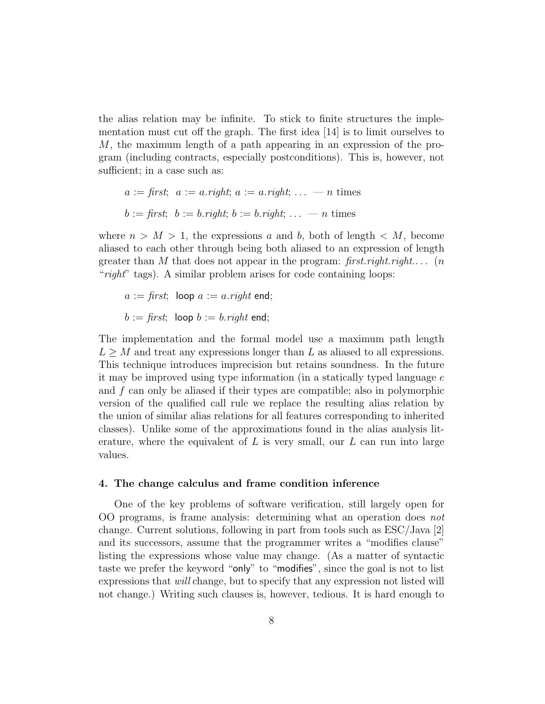the alias relation may be infinite. To stick to finite structures the implementation must cut off the graph. The first idea [14] is to limit ourselves to M, the maximum length of a path appearing in an expression of the program (including contracts, especially postconditions). This is, however, not sufficient; in a case such as:

$$
a := \text{first}; \ a := a.\text{right}; \ a := a.\text{right}; \ \ldots \ - n \text{ times}
$$
\n
$$
b := \text{first}; \ b := b.\text{right}; \ b := b.\text{right}; \ \ldots \ - n \text{ times}
$$

where  $n > M > 1$ , the expressions a and b, both of length  $\lt M$ , become aliased to each other through being both aliased to an expression of length greater than M that does not appear in the program:  $first.right.right...$  (n "right" tags). A similar problem arises for code containing loops:

 $a := \text{first}$ ; loop  $a := a.\text{right end}$ ;  $b := first$ ; loop  $b := b$ . *right* end;

The implementation and the formal model use a maximum path length  $L \geq M$  and treat any expressions longer than L as aliased to all expressions. This technique introduces imprecision but retains soundness. In the future it may be improved using type information (in a statically typed language  $e$ and  $f$  can only be aliased if their types are compatible; also in polymorphic version of the qualified call rule we replace the resulting alias relation by the union of similar alias relations for all features corresponding to inherited classes). Unlike some of the approximations found in the alias analysis literature, where the equivalent of  $L$  is very small, our  $L$  can run into large values.

## 4. The change calculus and frame condition inference

One of the key problems of software verification, still largely open for OO programs, is frame analysis: determining what an operation does not change. Current solutions, following in part from tools such as ESC/Java [2] and its successors, assume that the programmer writes a "modifies clause" listing the expressions whose value may change. (As a matter of syntactic taste we prefer the keyword "only" to "modifies", since the goal is not to list expressions that will change, but to specify that any expression not listed will not change.) Writing such clauses is, however, tedious. It is hard enough to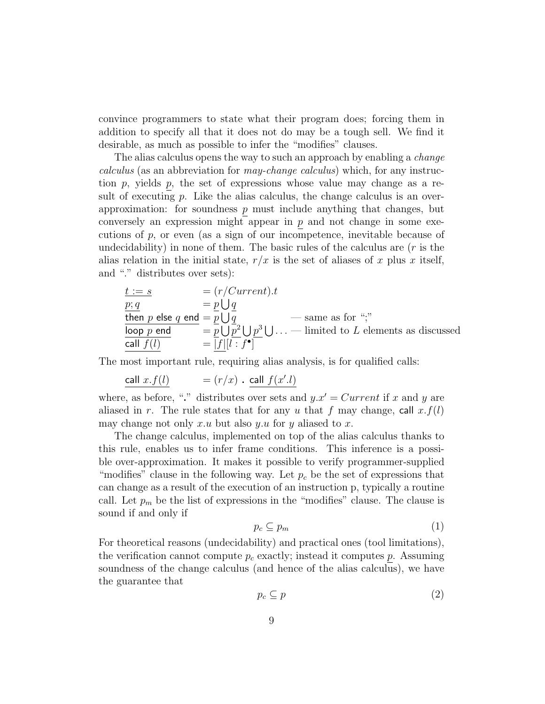convince programmers to state what their program does; forcing them in addition to specify all that it does not do may be a tough sell. We find it desirable, as much as possible to infer the "modifies" clauses.

The alias calculus opens the way to such an approach by enabling a *change* calculus (as an abbreviation for may-change calculus) which, for any instruction  $p$ , yields  $p$ , the set of expressions whose value may change as a result of executing  $p$ . Like the alias calculus, the change calculus is an overapproximation: for soundness  $p$  must include anything that changes, but conversely an expression might appear in  $p$  and not change in some executions of p, or even (as a sign of our incompetence, inevitable because of undecidability) in none of them. The basic rules of the calculus are  $(r$  is the alias relation in the initial state,  $r/x$  is the set of aliases of x plus x itself, and "." distributes over sets):

$$
\begin{array}{ll}\n\underline{t := s} & = (r/Current).t \\
\underline{p; q} & = \underline{p \cup q} \\
\underline{then \ p \ else \ q \ end} & = \underline{p \cup q} \\
\underline{loop \ p \ end} & = \underline{p \cup p^2 \cup p^3 \cup \ldots} \\
\underline{I} & = [f][l : f^{\bullet}] \\
\underline{I} & = [f][l : f^{\bullet}]\n\end{array}
$$

The most important rule, requiring alias analysis, is for qualified calls:

$$
\mathsf{call}\; x.f(l) \qquad \qquad = (r/x) \text{ . call } f(x'.l)
$$

where, as before, "." distributes over sets and  $y.x' = Current$  if x and y are aliased in r. The rule states that for any u that f may change, call  $x.f(l)$ may change not only  $x.u$  but also  $y.u$  for  $y$  aliased to  $x.$ 

The change calculus, implemented on top of the alias calculus thanks to this rule, enables us to infer frame conditions. This inference is a possible over-approximation. It makes it possible to verify programmer-supplied "modifies" clause in the following way. Let  $p_c$  be the set of expressions that can change as a result of the execution of an instruction p, typically a routine call. Let  $p_m$  be the list of expressions in the "modifies" clause. The clause is sound if and only if

$$
p_c \subseteq p_m \tag{1}
$$

For theoretical reasons (undecidability) and practical ones (tool limitations), the verification cannot compute  $p_c$  exactly; instead it computes p. Assuming soundness of the change calculus (and hence of the alias calculus), we have the guarantee that

$$
p_c \subseteq p \tag{2}
$$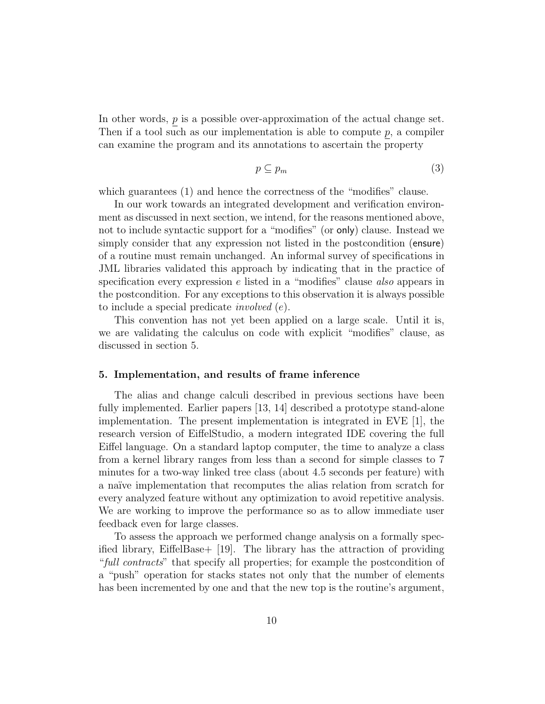In other words, p is a possible over-approximation of the actual change set. Then if a tool such as our implementation is able to compute  $p$ , a compiler can examine the program and its annotations to ascertain the property

$$
p \subseteq p_m \tag{3}
$$

which guarantees (1) and hence the correctness of the "modifies" clause.

In our work towards an integrated development and verification environment as discussed in next section, we intend, for the reasons mentioned above, not to include syntactic support for a "modifies" (or only) clause. Instead we simply consider that any expression not listed in the postcondition (ensure) of a routine must remain unchanged. An informal survey of specifications in JML libraries validated this approach by indicating that in the practice of specification every expression  $e$  listed in a "modifies" clause also appears in the postcondition. For any exceptions to this observation it is always possible to include a special predicate involved (e).

This convention has not yet been applied on a large scale. Until it is, we are validating the calculus on code with explicit "modifies" clause, as discussed in section 5.

#### 5. Implementation, and results of frame inference

The alias and change calculi described in previous sections have been fully implemented. Earlier papers [13, 14] described a prototype stand-alone implementation. The present implementation is integrated in EVE [1], the research version of EiffelStudio, a modern integrated IDE covering the full Eiffel language. On a standard laptop computer, the time to analyze a class from a kernel library ranges from less than a second for simple classes to 7 minutes for a two-way linked tree class (about 4.5 seconds per feature) with a na¨ıve implementation that recomputes the alias relation from scratch for every analyzed feature without any optimization to avoid repetitive analysis. We are working to improve the performance so as to allow immediate user feedback even for large classes.

To assess the approach we performed change analysis on a formally specified library, EiffelBase+ [19]. The library has the attraction of providing "full contracts" that specify all properties; for example the postcondition of a "push" operation for stacks states not only that the number of elements has been incremented by one and that the new top is the routine's argument,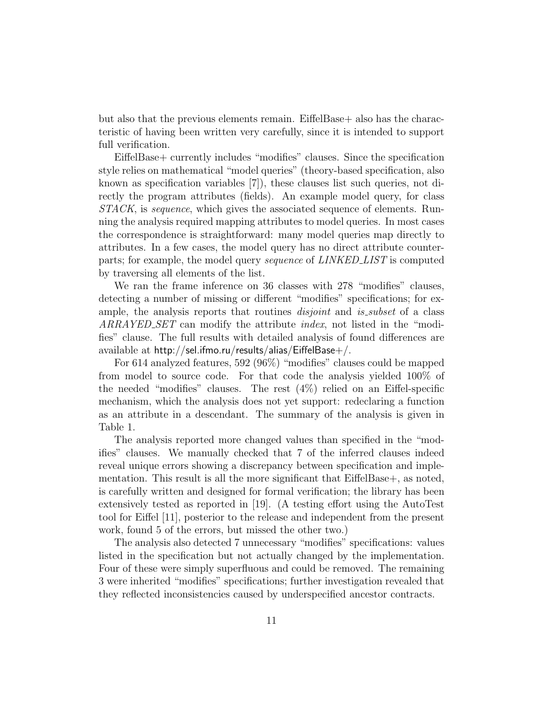but also that the previous elements remain. EiffelBase+ also has the characteristic of having been written very carefully, since it is intended to support full verification.

EiffelBase+ currently includes "modifies" clauses. Since the specification style relies on mathematical "model queries" (theory-based specification, also known as specification variables [7]), these clauses list such queries, not directly the program attributes (fields). An example model query, for class STACK, is sequence, which gives the associated sequence of elements. Running the analysis required mapping attributes to model queries. In most cases the correspondence is straightforward: many model queries map directly to attributes. In a few cases, the model query has no direct attribute counterparts; for example, the model query *sequence* of *LINKED\_LIST* is computed by traversing all elements of the list.

We ran the frame inference on 36 classes with 278 "modifies" clauses, detecting a number of missing or different "modifies" specifications; for example, the analysis reports that routines *disjoint* and *is\_subset* of a class ARRAYED\_SET can modify the attribute *index*, not listed in the "modifies" clause. The full results with detailed analysis of found differences are available at  $http://sel.ifmo.ru/results/alias/EiffelBase+/.$ 

For 614 analyzed features, 592 (96%) "modifies" clauses could be mapped from model to source code. For that code the analysis yielded 100% of the needed "modifies" clauses. The rest (4%) relied on an Eiffel-specific mechanism, which the analysis does not yet support: redeclaring a function as an attribute in a descendant. The summary of the analysis is given in Table 1.

The analysis reported more changed values than specified in the "modifies" clauses. We manually checked that 7 of the inferred clauses indeed reveal unique errors showing a discrepancy between specification and implementation. This result is all the more significant that EiffelBase+, as noted, is carefully written and designed for formal verification; the library has been extensively tested as reported in [19]. (A testing effort using the AutoTest tool for Eiffel [11], posterior to the release and independent from the present work, found 5 of the errors, but missed the other two.)

The analysis also detected 7 unnecessary "modifies" specifications: values listed in the specification but not actually changed by the implementation. Four of these were simply superfluous and could be removed. The remaining 3 were inherited "modifies" specifications; further investigation revealed that they reflected inconsistencies caused by underspecified ancestor contracts.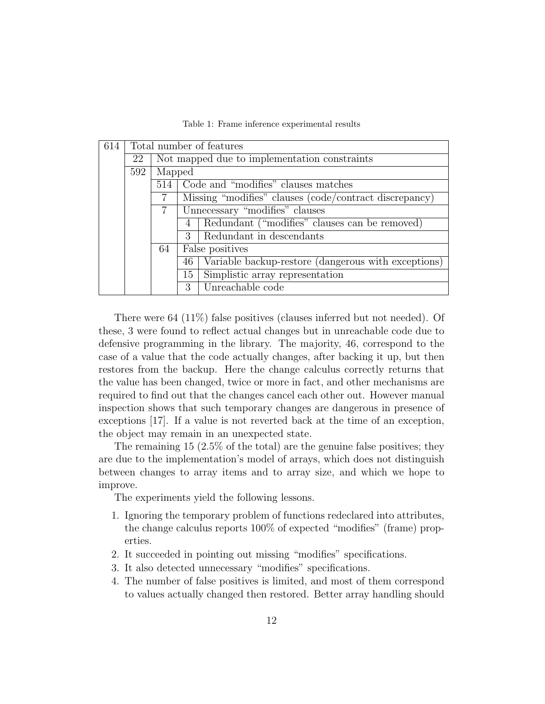Table 1: Frame inference experimental results

| 614 |     | Total number of features                     |                                                        |                                                     |  |
|-----|-----|----------------------------------------------|--------------------------------------------------------|-----------------------------------------------------|--|
|     | 22  | Not mapped due to implementation constraints |                                                        |                                                     |  |
|     | 592 |                                              | Mapped                                                 |                                                     |  |
|     |     | 514                                          | Code and "modifies" clauses matches                    |                                                     |  |
|     |     |                                              | Missing "modifies" clauses (code/contract discrepancy) |                                                     |  |
|     |     |                                              | Unnecessary "modifies" clauses                         |                                                     |  |
|     |     |                                              | 4                                                      | Redundant ("modifies" clauses can be removed)       |  |
|     |     |                                              | $\mathcal{S}$                                          | Redundant in descendants                            |  |
|     |     | 64                                           | False positives                                        |                                                     |  |
|     |     |                                              | 46                                                     | Variable backup-restore (dangerous with exceptions) |  |
|     |     |                                              | 15                                                     | Simplistic array representation                     |  |
|     |     |                                              | 3                                                      | Unreachable code                                    |  |

There were 64 (11%) false positives (clauses inferred but not needed). Of these, 3 were found to reflect actual changes but in unreachable code due to defensive programming in the library. The majority, 46, correspond to the case of a value that the code actually changes, after backing it up, but then restores from the backup. Here the change calculus correctly returns that the value has been changed, twice or more in fact, and other mechanisms are required to find out that the changes cancel each other out. However manual inspection shows that such temporary changes are dangerous in presence of exceptions [17]. If a value is not reverted back at the time of an exception, the object may remain in an unexpected state.

The remaining 15 (2.5% of the total) are the genuine false positives; they are due to the implementation's model of arrays, which does not distinguish between changes to array items and to array size, and which we hope to improve.

The experiments yield the following lessons.

- 1. Ignoring the temporary problem of functions redeclared into attributes, the change calculus reports 100% of expected "modifies" (frame) properties.
- 2. It succeeded in pointing out missing "modifies" specifications.
- 3. It also detected unnecessary "modifies" specifications.
- 4. The number of false positives is limited, and most of them correspond to values actually changed then restored. Better array handling should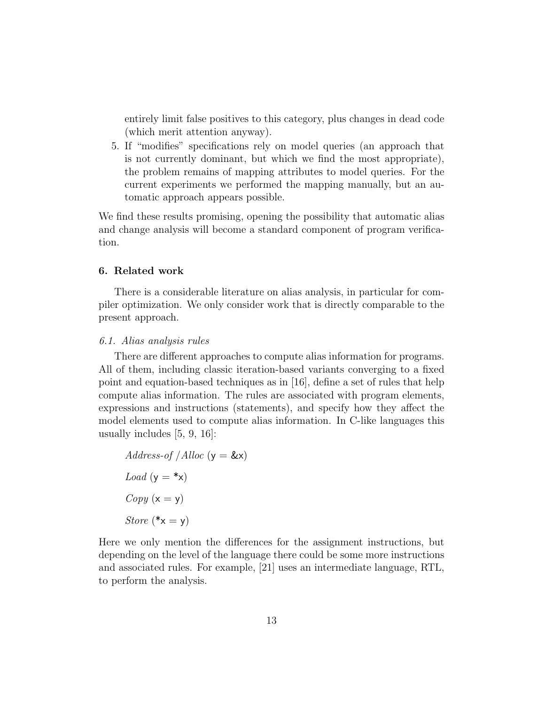entirely limit false positives to this category, plus changes in dead code (which merit attention anyway).

5. If "modifies" specifications rely on model queries (an approach that is not currently dominant, but which we find the most appropriate), the problem remains of mapping attributes to model queries. For the current experiments we performed the mapping manually, but an automatic approach appears possible.

We find these results promising, opening the possibility that automatic alias and change analysis will become a standard component of program verification.

## 6. Related work

There is a considerable literature on alias analysis, in particular for compiler optimization. We only consider work that is directly comparable to the present approach.

# 6.1. Alias analysis rules

There are different approaches to compute alias information for programs. All of them, including classic iteration-based variants converging to a fixed point and equation-based techniques as in [16], define a set of rules that help compute alias information. The rules are associated with program elements, expressions and instructions (statements), and specify how they affect the model elements used to compute alias information. In C-like languages this usually includes  $[5, 9, 16]$ :

$$
Address-of/Alice \ (y = \& x)
$$
\n
$$
Load \ (y = *x)
$$
\n
$$
Copy \ (x = y)
$$
\n
$$
Store \ (*x = y)
$$

Here we only mention the differences for the assignment instructions, but depending on the level of the language there could be some more instructions and associated rules. For example, [21] uses an intermediate language, RTL, to perform the analysis.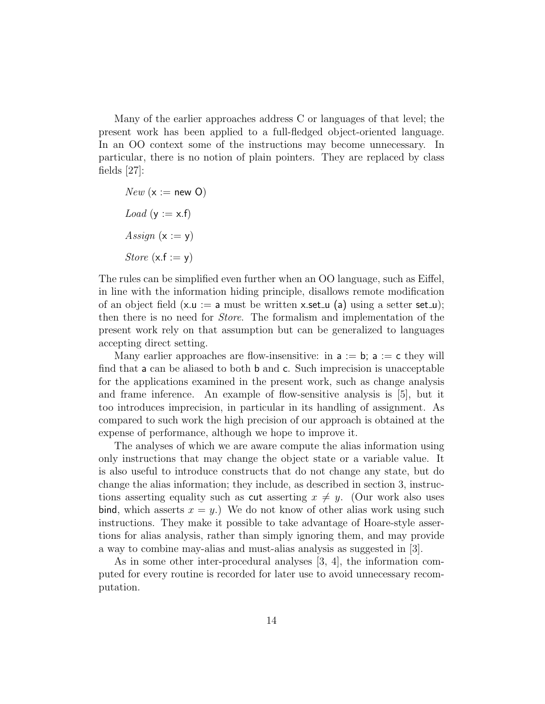Many of the earlier approaches address C or languages of that level; the present work has been applied to a full-fledged object-oriented language. In an OO context some of the instructions may become unnecessary. In particular, there is no notion of plain pointers. They are replaced by class fields [27]:

$$
New (x := new O)
$$
  

$$
Load (y := x.f)
$$
  

$$
Assign (x := y)
$$
  

$$
Store (x.f := y)
$$

The rules can be simplified even further when an OO language, such as Eiffel, in line with the information hiding principle, disallows remote modification of an object field  $(x.u := a must be written x.set_u(a) using a setter set_u);$ then there is no need for Store. The formalism and implementation of the present work rely on that assumption but can be generalized to languages accepting direct setting.

Many earlier approaches are flow-insensitive: in  $a := b$ ;  $a := c$  they will find that a can be aliased to both b and c. Such imprecision is unacceptable for the applications examined in the present work, such as change analysis and frame inference. An example of flow-sensitive analysis is [5], but it too introduces imprecision, in particular in its handling of assignment. As compared to such work the high precision of our approach is obtained at the expense of performance, although we hope to improve it.

The analyses of which we are aware compute the alias information using only instructions that may change the object state or a variable value. It is also useful to introduce constructs that do not change any state, but do change the alias information; they include, as described in section 3, instructions asserting equality such as cut asserting  $x \neq y$ . (Our work also uses bind, which asserts  $x = y$ .) We do not know of other alias work using such instructions. They make it possible to take advantage of Hoare-style assertions for alias analysis, rather than simply ignoring them, and may provide a way to combine may-alias and must-alias analysis as suggested in [3].

As in some other inter-procedural analyses [3, 4], the information computed for every routine is recorded for later use to avoid unnecessary recomputation.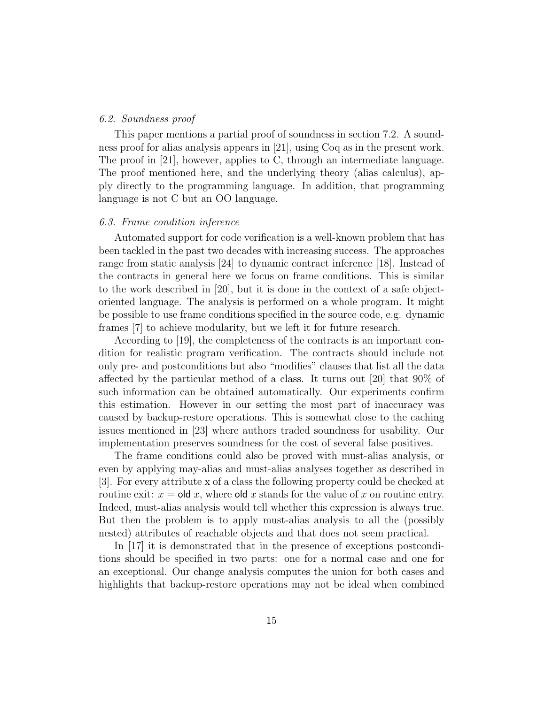#### 6.2. Soundness proof

This paper mentions a partial proof of soundness in section 7.2. A soundness proof for alias analysis appears in [21], using Coq as in the present work. The proof in [21], however, applies to C, through an intermediate language. The proof mentioned here, and the underlying theory (alias calculus), apply directly to the programming language. In addition, that programming language is not C but an OO language.

## 6.3. Frame condition inference

Automated support for code verification is a well-known problem that has been tackled in the past two decades with increasing success. The approaches range from static analysis [24] to dynamic contract inference [18]. Instead of the contracts in general here we focus on frame conditions. This is similar to the work described in [20], but it is done in the context of a safe objectoriented language. The analysis is performed on a whole program. It might be possible to use frame conditions specified in the source code, e.g. dynamic frames [7] to achieve modularity, but we left it for future research.

According to [19], the completeness of the contracts is an important condition for realistic program verification. The contracts should include not only pre- and postconditions but also "modifies" clauses that list all the data affected by the particular method of a class. It turns out [20] that 90% of such information can be obtained automatically. Our experiments confirm this estimation. However in our setting the most part of inaccuracy was caused by backup-restore operations. This is somewhat close to the caching issues mentioned in [23] where authors traded soundness for usability. Our implementation preserves soundness for the cost of several false positives.

The frame conditions could also be proved with must-alias analysis, or even by applying may-alias and must-alias analyses together as described in [3]. For every attribute x of a class the following property could be checked at routine exit:  $x = \text{old } x$ , where old x stands for the value of x on routine entry. Indeed, must-alias analysis would tell whether this expression is always true. But then the problem is to apply must-alias analysis to all the (possibly nested) attributes of reachable objects and that does not seem practical.

In [17] it is demonstrated that in the presence of exceptions postconditions should be specified in two parts: one for a normal case and one for an exceptional. Our change analysis computes the union for both cases and highlights that backup-restore operations may not be ideal when combined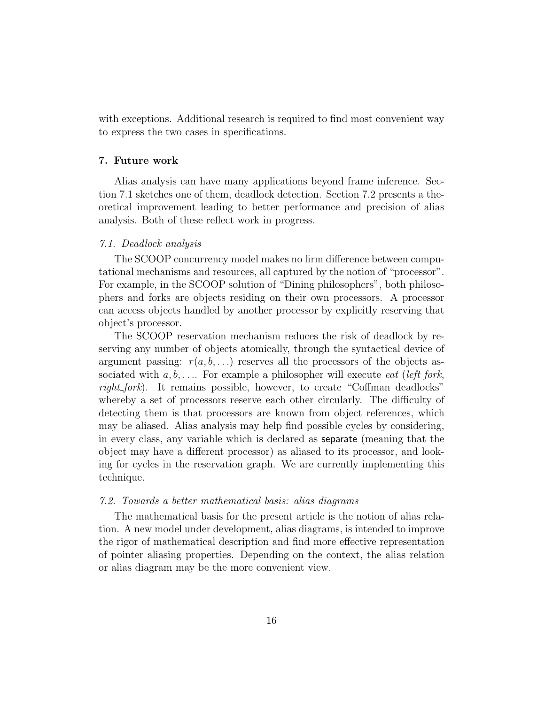with exceptions. Additional research is required to find most convenient way to express the two cases in specifications.

# 7. Future work

Alias analysis can have many applications beyond frame inference. Section 7.1 sketches one of them, deadlock detection. Section 7.2 presents a theoretical improvement leading to better performance and precision of alias analysis. Both of these reflect work in progress.

# 7.1. Deadlock analysis

The SCOOP concurrency model makes no firm difference between computational mechanisms and resources, all captured by the notion of "processor". For example, in the SCOOP solution of "Dining philosophers", both philosophers and forks are objects residing on their own processors. A processor can access objects handled by another processor by explicitly reserving that object's processor.

The SCOOP reservation mechanism reduces the risk of deadlock by reserving any number of objects atomically, through the syntactical device of argument passing:  $r(a, b, \ldots)$  reserves all the processors of the objects associated with  $a, b, \ldots$  For example a philosopher will execute *eat* (*left\_fork*, right fork). It remains possible, however, to create "Coffman deadlocks" whereby a set of processors reserve each other circularly. The difficulty of detecting them is that processors are known from object references, which may be aliased. Alias analysis may help find possible cycles by considering, in every class, any variable which is declared as separate (meaning that the object may have a different processor) as aliased to its processor, and looking for cycles in the reservation graph. We are currently implementing this technique.

#### 7.2. Towards a better mathematical basis: alias diagrams

The mathematical basis for the present article is the notion of alias relation. A new model under development, alias diagrams, is intended to improve the rigor of mathematical description and find more effective representation of pointer aliasing properties. Depending on the context, the alias relation or alias diagram may be the more convenient view.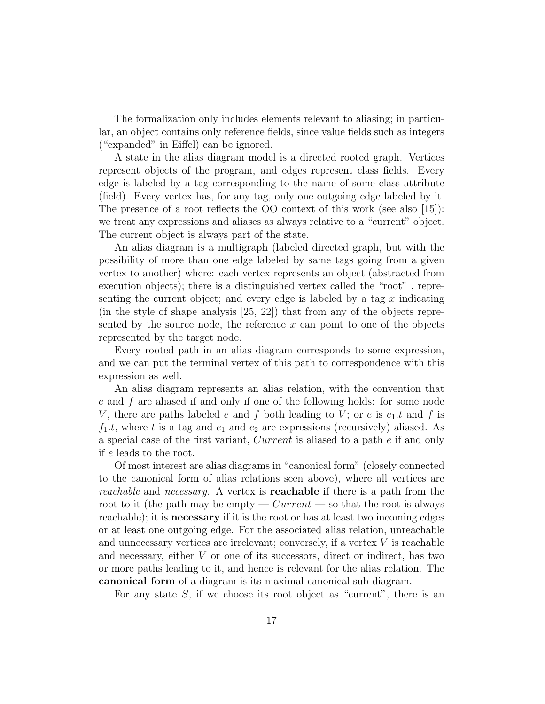The formalization only includes elements relevant to aliasing; in particular, an object contains only reference fields, since value fields such as integers ("expanded" in Eiffel) can be ignored.

A state in the alias diagram model is a directed rooted graph. Vertices represent objects of the program, and edges represent class fields. Every edge is labeled by a tag corresponding to the name of some class attribute (field). Every vertex has, for any tag, only one outgoing edge labeled by it. The presence of a root reflects the OO context of this work (see also [15]): we treat any expressions and aliases as always relative to a "current" object. The current object is always part of the state.

An alias diagram is a multigraph (labeled directed graph, but with the possibility of more than one edge labeled by same tags going from a given vertex to another) where: each vertex represents an object (abstracted from execution objects); there is a distinguished vertex called the "root" , representing the current object; and every edge is labeled by a tag  $x$  indicating (in the style of shape analysis [25, 22]) that from any of the objects represented by the source node, the reference  $x$  can point to one of the objects represented by the target node.

Every rooted path in an alias diagram corresponds to some expression, and we can put the terminal vertex of this path to correspondence with this expression as well.

An alias diagram represents an alias relation, with the convention that e and f are aliased if and only if one of the following holds: for some node V, there are paths labeled e and f both leading to V; or e is  $e_1.t$  and f is  $f_1.t$ , where t is a tag and  $e_1$  and  $e_2$  are expressions (recursively) aliased. As a special case of the first variant, Current is aliased to a path e if and only if e leads to the root.

Of most interest are alias diagrams in "canonical form" (closely connected to the canonical form of alias relations seen above), where all vertices are reachable and necessary. A vertex is **reachable** if there is a path from the root to it (the path may be empty  $-$  Current  $-$  so that the root is always reachable); it is **necessary** if it is the root or has at least two incoming edges or at least one outgoing edge. For the associated alias relation, unreachable and unnecessary vertices are irrelevant; conversely, if a vertex  $V$  is reachable and necessary, either  $V$  or one of its successors, direct or indirect, has two or more paths leading to it, and hence is relevant for the alias relation. The canonical form of a diagram is its maximal canonical sub-diagram.

For any state  $S$ , if we choose its root object as "current", there is an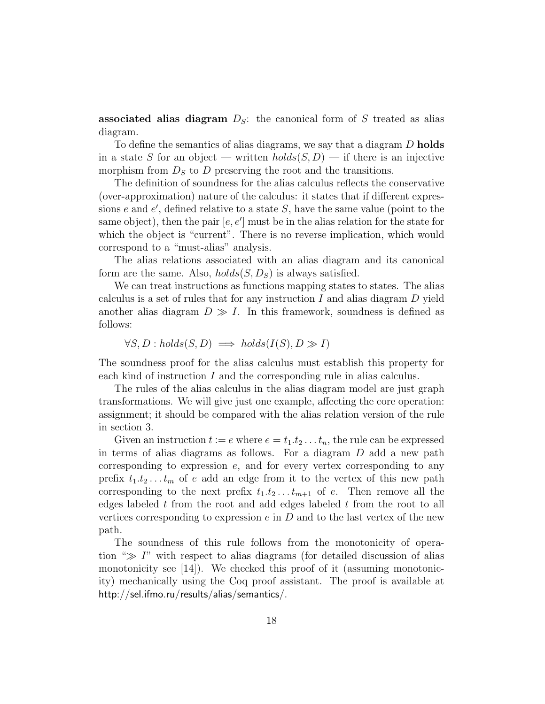associated alias diagram  $D<sub>S</sub>$ : the canonical form of S treated as alias diagram.

To define the semantics of alias diagrams, we say that a diagram D holds in a state S for an object — written  $holds(S, D)$  — if there is an injective morphism from  $D<sub>S</sub>$  to D preserving the root and the transitions.

The definition of soundness for the alias calculus reflects the conservative (over-approximation) nature of the calculus: it states that if different expressions  $e$  and  $e'$ , defined relative to a state  $S$ , have the same value (point to the same object), then the pair  $[e, e']$  must be in the alias relation for the state for which the object is "current". There is no reverse implication, which would correspond to a "must-alias" analysis.

The alias relations associated with an alias diagram and its canonical form are the same. Also,  $holds(S, D_S)$  is always satisfied.

We can treat instructions as functions mapping states to states. The alias calculus is a set of rules that for any instruction I and alias diagram  $D$  yield another alias diagram  $D \gg I$ . In this framework, soundness is defined as follows:

 $\forall S, D : holds(S, D) \implies holds(I(S), D \gg I)$ 

The soundness proof for the alias calculus must establish this property for each kind of instruction I and the corresponding rule in alias calculus.

The rules of the alias calculus in the alias diagram model are just graph transformations. We will give just one example, affecting the core operation: assignment; it should be compared with the alias relation version of the rule in section 3.

Given an instruction  $t := e$  where  $e = t_1 \cdot t_2 \ldots t_n$ , the rule can be expressed in terms of alias diagrams as follows. For a diagram  $D$  add a new path corresponding to expression e, and for every vertex corresponding to any prefix  $t_1, t_2, \ldots, t_m$  of e add an edge from it to the vertex of this new path corresponding to the next prefix  $t_1, t_2, \ldots, t_{m+1}$  of e. Then remove all the edges labeled  $t$  from the root and add edges labeled  $t$  from the root to all vertices corresponding to expression  $e$  in  $D$  and to the last vertex of the new path.

The soundness of this rule follows from the monotonicity of operation " $\gg$  I" with respect to alias diagrams (for detailed discussion of alias monotonicity see [14]). We checked this proof of it (assuming monotonicity) mechanically using the Coq proof assistant. The proof is available at http://sel.ifmo.ru/results/alias/semantics/.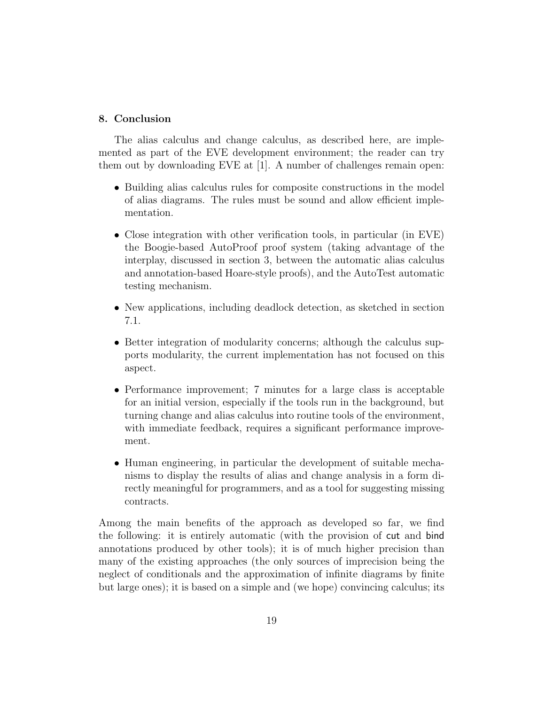# 8. Conclusion

The alias calculus and change calculus, as described here, are implemented as part of the EVE development environment; the reader can try them out by downloading EVE at [1]. A number of challenges remain open:

- Building alias calculus rules for composite constructions in the model of alias diagrams. The rules must be sound and allow efficient implementation.
- Close integration with other verification tools, in particular (in EVE) the Boogie-based AutoProof proof system (taking advantage of the interplay, discussed in section 3, between the automatic alias calculus and annotation-based Hoare-style proofs), and the AutoTest automatic testing mechanism.
- New applications, including deadlock detection, as sketched in section 7.1.
- Better integration of modularity concerns; although the calculus supports modularity, the current implementation has not focused on this aspect.
- Performance improvement; 7 minutes for a large class is acceptable for an initial version, especially if the tools run in the background, but turning change and alias calculus into routine tools of the environment, with immediate feedback, requires a significant performance improvement.
- Human engineering, in particular the development of suitable mechanisms to display the results of alias and change analysis in a form directly meaningful for programmers, and as a tool for suggesting missing contracts.

Among the main benefits of the approach as developed so far, we find the following: it is entirely automatic (with the provision of cut and bind annotations produced by other tools); it is of much higher precision than many of the existing approaches (the only sources of imprecision being the neglect of conditionals and the approximation of infinite diagrams by finite but large ones); it is based on a simple and (we hope) convincing calculus; its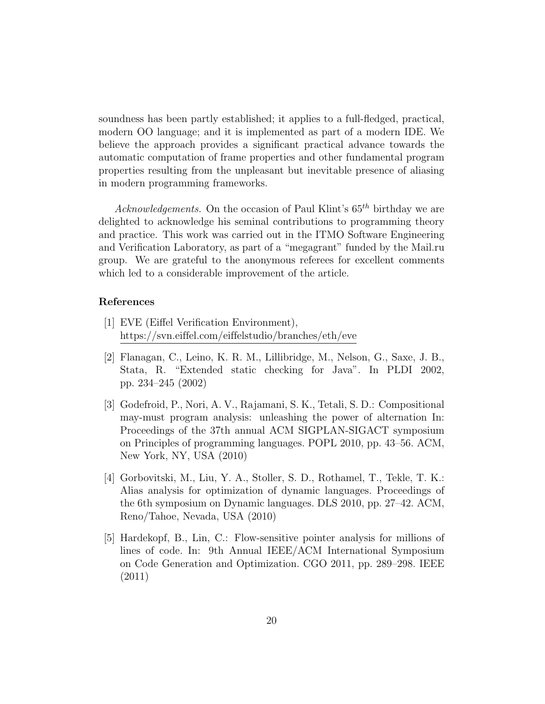soundness has been partly established; it applies to a full-fledged, practical, modern OO language; and it is implemented as part of a modern IDE. We believe the approach provides a significant practical advance towards the automatic computation of frame properties and other fundamental program properties resulting from the unpleasant but inevitable presence of aliasing in modern programming frameworks.

Acknowledgements. On the occasion of Paul Klint's  $65<sup>th</sup>$  birthday we are delighted to acknowledge his seminal contributions to programming theory and practice. This work was carried out in the ITMO Software Engineering and Verification Laboratory, as part of a "megagrant" funded by the Mail.ru group. We are grateful to the anonymous referees for excellent comments which led to a considerable improvement of the article.

## References

- [1] EVE (Eiffel Verification Environment), https://svn.eiffel.com/eiffelstudio/branches/eth/eve
- [2] Flanagan, C., Leino, K. R. M., Lillibridge, M., Nelson, G., Saxe, J. B., Stata, R. "Extended static checking for Java". In PLDI 2002, pp. 234–245 (2002)
- [3] Godefroid, P., Nori, A. V., Rajamani, S. K., Tetali, S. D.: Compositional may-must program analysis: unleashing the power of alternation In: Proceedings of the 37th annual ACM SIGPLAN-SIGACT symposium on Principles of programming languages. POPL 2010, pp. 43–56. ACM, New York, NY, USA (2010)
- [4] Gorbovitski, M., Liu, Y. A., Stoller, S. D., Rothamel, T., Tekle, T. K.: Alias analysis for optimization of dynamic languages. Proceedings of the 6th symposium on Dynamic languages. DLS 2010, pp. 27–42. ACM, Reno/Tahoe, Nevada, USA (2010)
- [5] Hardekopf, B., Lin, C.: Flow-sensitive pointer analysis for millions of lines of code. In: 9th Annual IEEE/ACM International Symposium on Code Generation and Optimization. CGO 2011, pp. 289–298. IEEE (2011)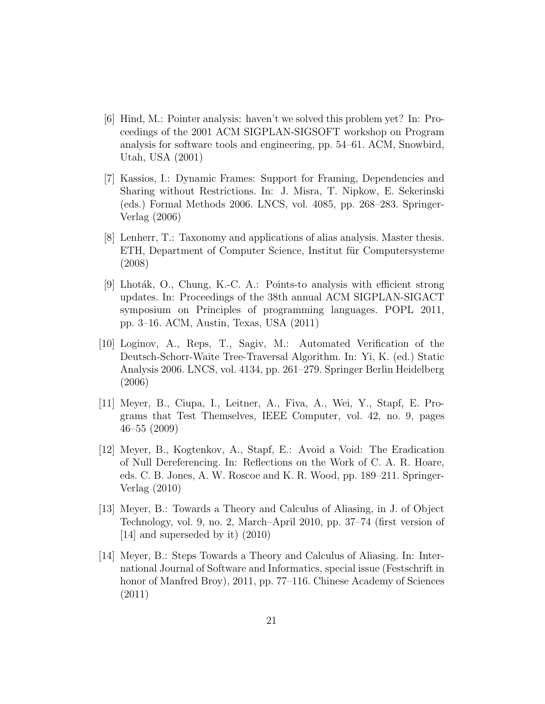- [6] Hind, M.: Pointer analysis: haven't we solved this problem yet? In: Proceedings of the 2001 ACM SIGPLAN-SIGSOFT workshop on Program analysis for software tools and engineering, pp. 54–61. ACM, Snowbird, Utah, USA (2001)
- [7] Kassios, I.: Dynamic Frames: Support for Framing, Dependencies and Sharing without Restrictions. In: J. Misra, T. Nipkow, E. Sekerinski (eds.) Formal Methods 2006. LNCS, vol. 4085, pp. 268–283. Springer-Verlag (2006)
- [8] Lenherr, T.: Taxonomy and applications of alias analysis. Master thesis. ETH, Department of Computer Science, Institut für Computersysteme (2008)
- [9] Lhot´ak, O., Chung, K.-C. A.: Points-to analysis with efficient strong updates. In: Proceedings of the 38th annual ACM SIGPLAN-SIGACT symposium on Principles of programming languages. POPL 2011, pp. 3–16. ACM, Austin, Texas, USA (2011)
- [10] Loginov, A., Reps, T., Sagiv, M.: Automated Verification of the Deutsch-Schorr-Waite Tree-Traversal Algorithm. In: Yi, K. (ed.) Static Analysis 2006. LNCS, vol. 4134, pp. 261–279. Springer Berlin Heidelberg (2006)
- [11] Meyer, B., Ciupa, I., Leitner, A., Fiva, A., Wei, Y., Stapf, E. Programs that Test Themselves, IEEE Computer, vol. 42, no. 9, pages 46–55 (2009)
- [12] Meyer, B., Kogtenkov, A., Stapf, E.: Avoid a Void: The Eradication of Null Dereferencing. In: Reflections on the Work of C. A. R. Hoare, eds. C. B. Jones, A. W. Roscoe and K. R. Wood, pp. 189–211. Springer-Verlag (2010)
- [13] Meyer, B.: Towards a Theory and Calculus of Aliasing, in J. of Object Technology, vol. 9, no. 2, March–April 2010, pp. 37–74 (first version of [14] and superseded by it) (2010)
- [14] Meyer, B.: Steps Towards a Theory and Calculus of Aliasing. In: International Journal of Software and Informatics, special issue (Festschrift in honor of Manfred Broy), 2011, pp. 77–116. Chinese Academy of Sciences (2011)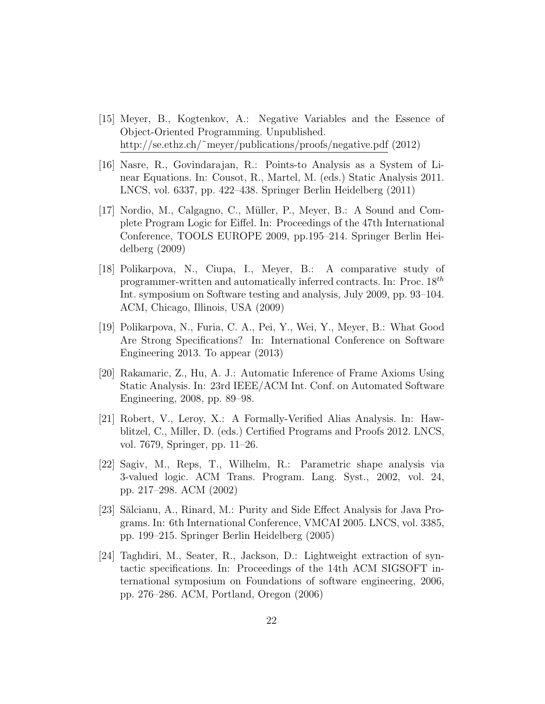- [15] Meyer, B., Kogtenkov, A.: Negative Variables and the Essence of Object-Oriented Programming. Unpublished. http://se.ethz.ch/~meyer/publications/proofs/negative.pdf (2012)
- [16] Nasre, R., Govindarajan, R.: Points-to Analysis as a System of Linear Equations. In: Cousot, R., Martel, M. (eds.) Static Analysis 2011. LNCS, vol. 6337, pp. 422–438. Springer Berlin Heidelberg (2011)
- [17] Nordio, M., Calgagno, C., M¨uller, P., Meyer, B.: A Sound and Complete Program Logic for Eiffel. In: Proceedings of the 47th International Conference, TOOLS EUROPE 2009, pp.195–214. Springer Berlin Heidelberg (2009)
- [18] Polikarpova, N., Ciupa, I., Meyer, B.: A comparative study of programmer-written and automatically inferred contracts. In: Proc. 18th Int. symposium on Software testing and analysis, July 2009, pp. 93–104. ACM, Chicago, Illinois, USA (2009)
- [19] Polikarpova, N., Furia, C. A., Pei, Y., Wei, Y., Meyer, B.: What Good Are Strong Specifications? In: International Conference on Software Engineering 2013. To appear (2013)
- [20] Rakamaric, Z., Hu, A. J.: Automatic Inference of Frame Axioms Using Static Analysis. In: 23rd IEEE/ACM Int. Conf. on Automated Software Engineering, 2008, pp. 89–98.
- [21] Robert, V., Leroy, X.: A Formally-Verified Alias Analysis. In: Hawblitzel, C., Miller, D. (eds.) Certified Programs and Proofs 2012. LNCS, vol. 7679, Springer, pp. 11–26.
- [22] Sagiv, M., Reps, T., Wilhelm, R.: Parametric shape analysis via 3-valued logic. ACM Trans. Program. Lang. Syst., 2002, vol. 24, pp. 217–298. ACM (2002)
- [23] Sălcianu, A., Rinard, M.: Purity and Side Effect Analysis for Java Programs. In: 6th International Conference, VMCAI 2005. LNCS, vol. 3385, pp. 199–215. Springer Berlin Heidelberg (2005)
- [24] Taghdiri, M., Seater, R., Jackson, D.: Lightweight extraction of syntactic specifications. In: Proceedings of the 14th ACM SIGSOFT international symposium on Foundations of software engineering, 2006, pp. 276–286. ACM, Portland, Oregon (2006)